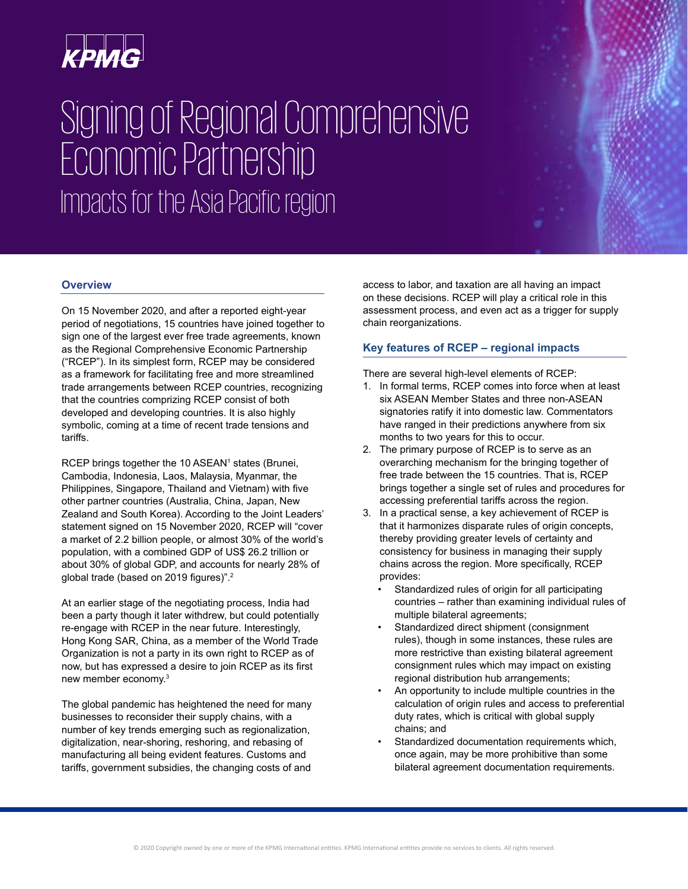

# Signing of Regional Comprehensive Economic Partnership Impacts for the Asia Pacific region

#### **Overview**

On 15 November 2020, and after a reported eight-year period of negotiations, 15 countries have joined together to sign one of the largest ever free trade agreements, known as the Regional Comprehensive Economic Partnership ("RCEP"). In its simplest form, RCEP may be considered as a framework for facilitating free and more streamlined trade arrangements between RCEP countries, recognizing that the countries comprizing RCEP consist of both developed and developing countries. It is also highly symbolic, coming at a time of recent trade tensions and tariffs.

RCEP brings together the 10 ASEAN<sup>1</sup> states (Brunei, Cambodia, Indonesia, Laos, Malaysia, Myanmar, the Philippines, Singapore, Thailand and Vietnam) with five other partner countries (Australia, China, Japan, New Zealand and South Korea). According to the Joint Leaders' statement signed on 15 November 2020, RCEP will "cover a market of 2.2 billion people, or almost 30% of the world's population, with a combined GDP of US\$ 26.2 trillion or about 30% of global GDP, and accounts for nearly 28% of global trade (based on 2019 figures)".<sup>2</sup>

At an earlier stage of the negotiating process, India had been a party though it later withdrew, but could potentially re-engage with RCEP in the near future. Interestingly, Hong Kong SAR, China, as a member of the World Trade Organization is not a party in its own right to RCEP as of now, but has expressed a desire to join RCEP as its first new member economy.<sup>3</sup>

The global pandemic has heightened the need for many businesses to reconsider their supply chains, with a number of key trends emerging such as regionalization, digitalization, near-shoring, reshoring, and rebasing of manufacturing all being evident features. Customs and tariffs, government subsidies, the changing costs of and

access to labor, and taxation are all having an impact on these decisions. RCEP will play a critical role in this assessment process, and even act as a trigger for supply chain reorganizations.

## **Key features of RCEP – regional impacts**

There are several high-level elements of RCEP:

- 1. In formal terms, RCEP comes into force when at least six ASEAN Member States and three non-ASEAN signatories ratify it into domestic law. Commentators have ranged in their predictions anywhere from six months to two years for this to occur.
- 2. The primary purpose of RCEP is to serve as an overarching mechanism for the bringing together of free trade between the 15 countries. That is, RCEP brings together a single set of rules and procedures for accessing preferential tariffs across the region.
- 3. In a practical sense, a key achievement of RCEP is that it harmonizes disparate rules of origin concepts, thereby providing greater levels of certainty and consistency for business in managing their supply chains across the region. More specifically, RCEP provides:
	- Standardized rules of origin for all participating countries – rather than examining individual rules of multiple bilateral agreements;
	- Standardized direct shipment (consignment rules), though in some instances, these rules are more restrictive than existing bilateral agreement consignment rules which may impact on existing regional distribution hub arrangements;
	- An opportunity to include multiple countries in the calculation of origin rules and access to preferential duty rates, which is critical with global supply chains; and
	- Standardized documentation requirements which, once again, may be more prohibitive than some bilateral agreement documentation requirements.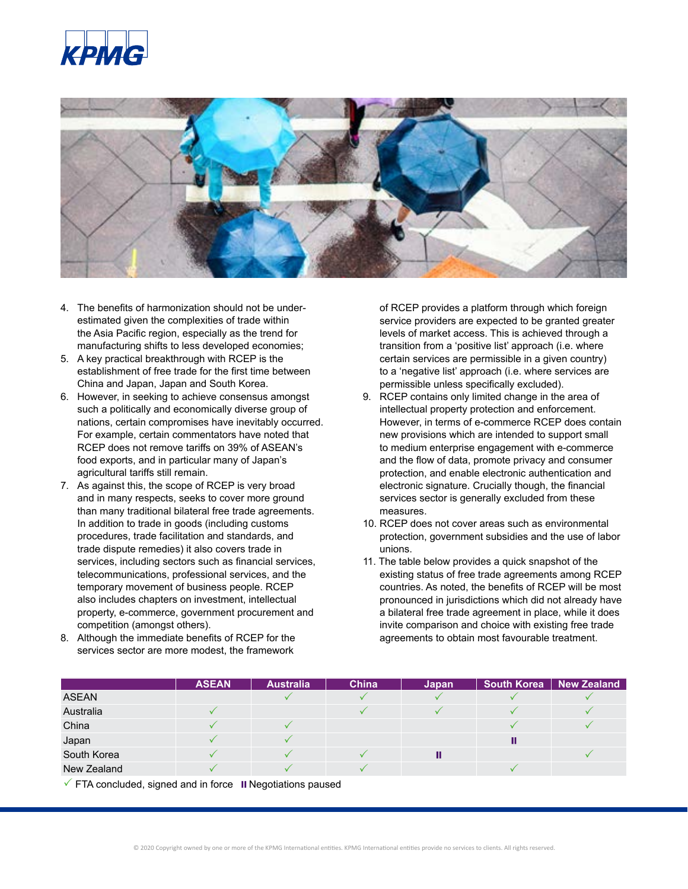



- 4. The benefits of harmonization should not be underestimated given the complexities of trade within the Asia Pacific region, especially as the trend for manufacturing shifts to less developed economies;
- 5. A key practical breakthrough with RCEP is the establishment of free trade for the first time between China and Japan, Japan and South Korea.
- 6. However, in seeking to achieve consensus amongst such a politically and economically diverse group of nations, certain compromises have inevitably occurred. For example, certain commentators have noted that RCEP does not remove tariffs on 39% of ASEAN's food exports, and in particular many of Japan's agricultural tariffs still remain.
- 7. As against this, the scope of RCEP is very broad and in many respects, seeks to cover more ground than many traditional bilateral free trade agreements. In addition to trade in goods (including customs procedures, trade facilitation and standards, and trade dispute remedies) it also covers trade in services, including sectors such as financial services, telecommunications, professional services, and the temporary movement of business people. RCEP also includes chapters on investment, intellectual property, e-commerce, government procurement and competition (amongst others).
- 8. Although the immediate benefits of RCEP for the services sector are more modest, the framework

of RCEP provides a platform through which foreign service providers are expected to be granted greater levels of market access. This is achieved through a transition from a 'positive list' approach (i.e. where certain services are permissible in a given country) to a 'negative list' approach (i.e. where services are permissible unless specifically excluded).

- 9. RCEP contains only limited change in the area of intellectual property protection and enforcement. However, in terms of e-commerce RCEP does contain new provisions which are intended to support small to medium enterprise engagement with e-commerce and the flow of data, promote privacy and consumer protection, and enable electronic authentication and electronic signature. Crucially though, the financial services sector is generally excluded from these measures.
- 10. RCEP does not cover areas such as environmental protection, government subsidies and the use of labor unions.
- 11. The table below provides a quick snapshot of the existing status of free trade agreements among RCEP countries. As noted, the benefits of RCEP will be most pronounced in jurisdictions which did not already have a bilateral free trade agreement in place, while it does invite comparison and choice with existing free trade agreements to obtain most favourable treatment.

|              | <b>ASEAN</b> | <b>Australia</b> | China | Japan | <b>South Korea</b> | New Zealand |
|--------------|--------------|------------------|-------|-------|--------------------|-------------|
| <b>ASEAN</b> |              |                  |       |       |                    |             |
| Australia    |              |                  |       |       |                    |             |
| China        |              |                  |       |       |                    |             |
| Japan        |              |                  |       |       |                    |             |
| South Korea  |              |                  |       |       |                    |             |
| New Zealand  |              |                  |       |       |                    |             |

 $\checkmark$  FTA concluded, signed and in force II Negotiations paused